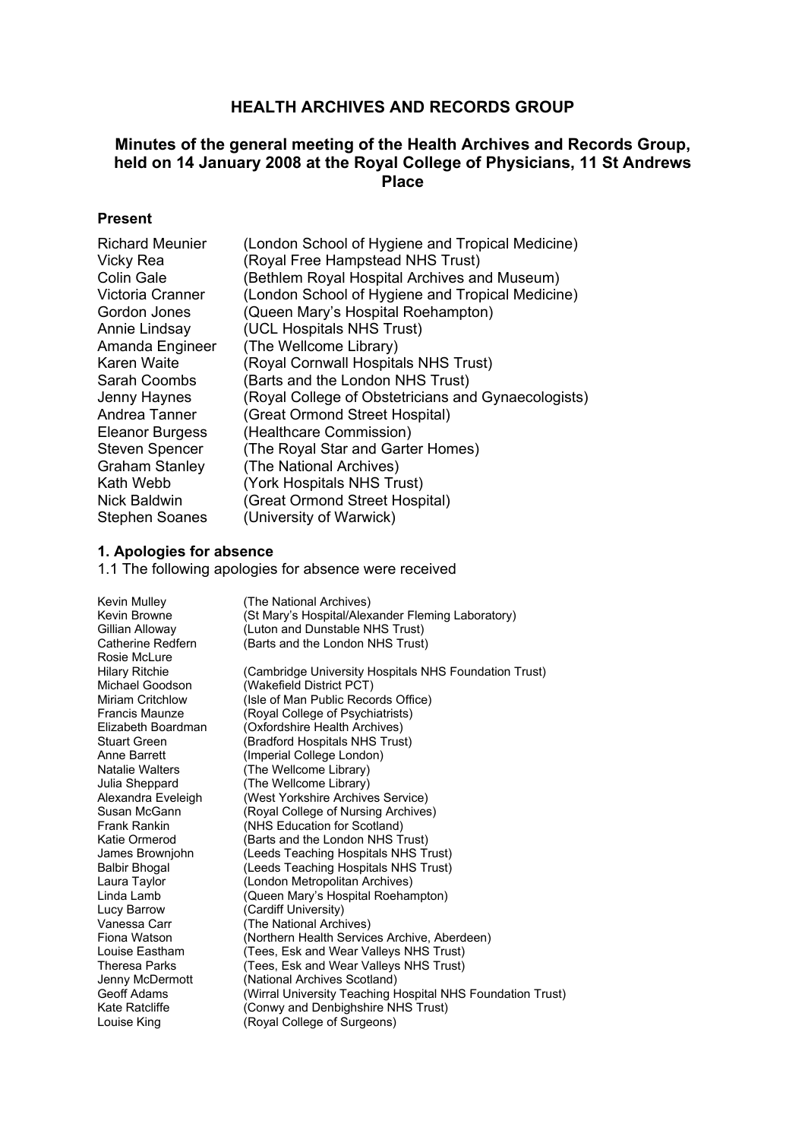# **HEALTH ARCHIVES AND RECORDS GROUP**

# **Minutes of the general meeting of the Health Archives and Records Group, held on 14 January 2008 at the Royal College of Physicians, 11 St Andrews Place**

## **Present**

| (London School of Hygiene and Tropical Medicine)    |
|-----------------------------------------------------|
| (Royal Free Hampstead NHS Trust)                    |
| (Bethlem Royal Hospital Archives and Museum)        |
| (London School of Hygiene and Tropical Medicine)    |
| (Queen Mary's Hospital Roehampton)                  |
| (UCL Hospitals NHS Trust)                           |
| (The Wellcome Library)                              |
| (Royal Cornwall Hospitals NHS Trust)                |
| (Barts and the London NHS Trust)                    |
| (Royal College of Obstetricians and Gynaecologists) |
| (Great Ormond Street Hospital)                      |
| (Healthcare Commission)                             |
| (The Royal Star and Garter Homes)                   |
| (The National Archives)                             |
| (York Hospitals NHS Trust)                          |
| (Great Ormond Street Hospital)                      |
| (University of Warwick)                             |
|                                                     |

#### **1. Apologies for absence**

1.1 The following apologies for absence were received

| Kevin Mulley<br>Kevin Browne<br>Gillian Alloway | (The National Archives)<br>(St Mary's Hospital/Alexander Fleming Laboratory)<br>(Luton and Dunstable NHS Trust) |
|-------------------------------------------------|-----------------------------------------------------------------------------------------------------------------|
| Catherine Redfern<br>Rosie McLure               | (Barts and the London NHS Trust)                                                                                |
| Hilary Ritchie                                  | (Cambridge University Hospitals NHS Foundation Trust)                                                           |
| Michael Goodson<br>Miriam Critchlow             | (Wakefield District PCT)<br>(Isle of Man Public Records Office)                                                 |
| Francis Maunze                                  | (Royal College of Psychiatrists)                                                                                |
| Elizabeth Boardman                              | (Oxfordshire Health Archives)                                                                                   |
| Stuart Green                                    | (Bradford Hospitals NHS Trust)                                                                                  |
| Anne Barrett                                    | (Imperial College London)                                                                                       |
| Natalie Walters                                 | (The Wellcome Library)                                                                                          |
| Julia Sheppard                                  | (The Wellcome Library)                                                                                          |
| Alexandra Eveleigh                              | (West Yorkshire Archives Service)                                                                               |
| Susan McGann                                    | (Royal College of Nursing Archives)                                                                             |
| Frank Rankin                                    | (NHS Education for Scotland)                                                                                    |
| Katie Ormerod                                   | (Barts and the London NHS Trust)                                                                                |
| James Brownjohn                                 | (Leeds Teaching Hospitals NHS Trust)                                                                            |
| Balbir Bhogal                                   | (Leeds Teaching Hospitals NHS Trust)                                                                            |
| Laura Taylor                                    | (London Metropolitan Archives)                                                                                  |
| Linda Lamb                                      | (Queen Mary's Hospital Roehampton)                                                                              |
| Lucy Barrow                                     | (Cardiff University)                                                                                            |
| Vanessa Carr                                    | (The National Archives)                                                                                         |
| Fiona Watson                                    | (Northern Health Services Archive, Aberdeen)                                                                    |
| Louise Eastham                                  | (Tees, Esk and Wear Valleys NHS Trust)                                                                          |
| Theresa Parks                                   | (Tees, Esk and Wear Valleys NHS Trust)                                                                          |
| Jenny McDermott                                 | (National Archives Scotland)                                                                                    |
| Geoff Adams                                     | (Wirral University Teaching Hospital NHS Foundation Trust)                                                      |
| Kate Ratcliffe                                  | (Conwy and Denbighshire NHS Trust)                                                                              |
| Louise King                                     | (Royal College of Surgeons)                                                                                     |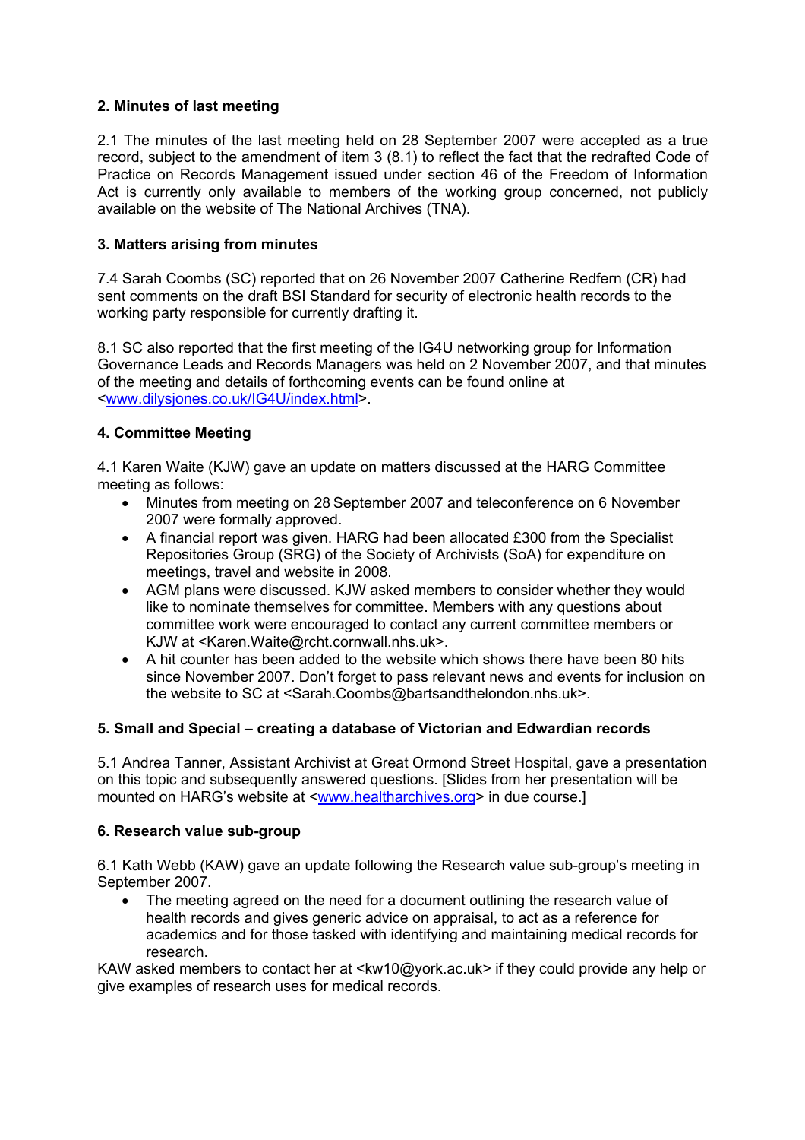### **2. Minutes of last meeting**

2.1 The minutes of the last meeting held on 28 September 2007 were accepted as a true record, subject to the amendment of item 3 (8.1) to reflect the fact that the redrafted Code of Practice on Records Management issued under section 46 of the Freedom of Information Act is currently only available to members of the working group concerned, not publicly available on the website of The National Archives (TNA).

### **3. Matters arising from minutes**

7.4 Sarah Coombs (SC) reported that on 26 November 2007 Catherine Redfern (CR) had sent comments on the draft BSI Standard for security of electronic health records to the working party responsible for currently drafting it.

8.1 SC also reported that the first meeting of the IG4U networking group for Information Governance Leads and Records Managers was held on 2 November 2007, and that minutes of the meeting and details of forthcoming events can be found online at <www.dilysjones.co.uk/IG4U/index.html>.

### **4. Committee Meeting**

4.1 Karen Waite (KJW) gave an update on matters discussed at the HARG Committee meeting as follows:

- Minutes from meeting on 28 September 2007 and teleconference on 6 November 2007 were formally approved.
- A financial report was given. HARG had been allocated £300 from the Specialist Repositories Group (SRG) of the Society of Archivists (SoA) for expenditure on meetings, travel and website in 2008.
- AGM plans were discussed. KJW asked members to consider whether they would like to nominate themselves for committee. Members with any questions about committee work were encouraged to contact any current committee members or KJW at <Karen.Waite@rcht.cornwall.nhs.uk>.
- A hit counter has been added to the website which shows there have been 80 hits since November 2007. Don't forget to pass relevant news and events for inclusion on the website to SC at <Sarah.Coombs@bartsandthelondon.nhs.uk>.

## **5. Small and Special – creating a database of Victorian and Edwardian records**

5.1 Andrea Tanner, Assistant Archivist at Great Ormond Street Hospital, gave a presentation on this topic and subsequently answered questions. [Slides from her presentation will be mounted on HARG's website at <www.healtharchives.org> in due course.]

#### **6. Research value sub-group**

6.1 Kath Webb (KAW) gave an update following the Research value sub-group's meeting in September 2007.

• The meeting agreed on the need for a document outlining the research value of health records and gives generic advice on appraisal, to act as a reference for academics and for those tasked with identifying and maintaining medical records for research.

KAW asked members to contact her at <kw10@york.ac.uk> if they could provide any help or give examples of research uses for medical records.